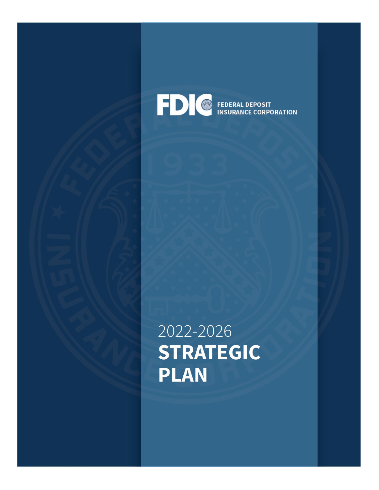

2022-2026 **STRATEGIC PLAN**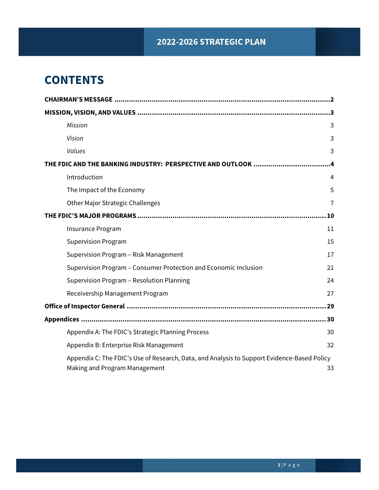## 2022-2026 STRATEGIC PLAN

# **CONTENTS**

|                                                                                                                              | $\cdot$ 3      |
|------------------------------------------------------------------------------------------------------------------------------|----------------|
| <b>Mission</b>                                                                                                               | 3              |
| Vision                                                                                                                       | 3              |
| Values                                                                                                                       | 3              |
| THE FDIC AND THE BANKING INDUSTRY: PERSPECTIVE AND OUTLOOK                                                                   | .4             |
| Introduction                                                                                                                 | 4              |
| The Impact of the Economy                                                                                                    | 5              |
| <b>Other Major Strategic Challenges</b>                                                                                      | $\overline{7}$ |
|                                                                                                                              | 10             |
| Insurance Program                                                                                                            | 11             |
| <b>Supervision Program</b>                                                                                                   | 15             |
| Supervision Program - Risk Management                                                                                        | 17             |
| Supervision Program - Consumer Protection and Economic Inclusion                                                             | 21             |
| Supervision Program - Resolution Planning                                                                                    | 24             |
| Receivership Management Program                                                                                              | 27             |
|                                                                                                                              |                |
|                                                                                                                              |                |
| Appendix A: The FDIC's Strategic Planning Process                                                                            | 30             |
| Appendix B: Enterprise Risk Management                                                                                       | 32             |
| Appendix C: The FDIC's Use of Research, Data, and Analysis to Support Evidence-Based Policy<br>Making and Program Management | 33             |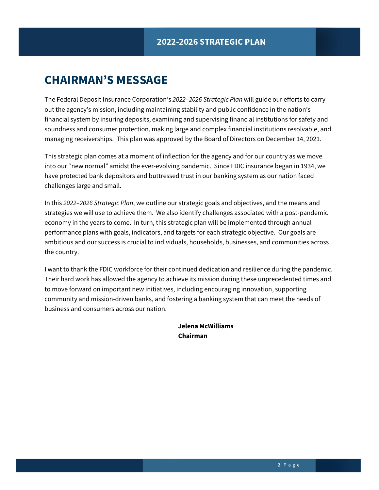# <span id="page-2-0"></span>**CHAIRMAN'S MESSAGE**

The Federal Deposit Insurance Corporation's *2022–2026 Strategic Plan* will guide our efforts to carry out the agency's mission, including maintaining stability and public confidence in the nation's financial system by insuring deposits, examining and supervising financial institutions for safety and soundness and consumer protection, making large and complex financial institutions resolvable, and managing receiverships. This plan was approved by the Board of Directors on December 14, 2021.

This strategic plan comes at a moment of inflection for the agency and for our country as we move into our "new normal" amidst the ever-evolving pandemic. Since FDIC insurance began in 1934, we have protected bank depositors and buttressed trust in our banking system as our nation faced challenges large and small.

In this *2022–2026 Strategic Plan*, we outline our strategic goals and objectives, and the means and strategies we will use to achieve them. We also identify challenges associated with a post-pandemic economy in the years to come. In turn, this strategic plan will be implemented through annual performance plans with goals, indicators, and targets for each strategic objective. Our goals are ambitious and our success is crucial to individuals, households, businesses, and communities across the country.

I want to thank the FDIC workforce for their continued dedication and resilience during the pandemic. Their hard work has allowed the agency to achieve its mission during these unprecedented times and to move forward on important new initiatives, including encouraging innovation, supporting community and mission-driven banks, and fostering a banking system that can meet the needs of business and consumers across our nation.

> **Jelena McWilliams Chairman**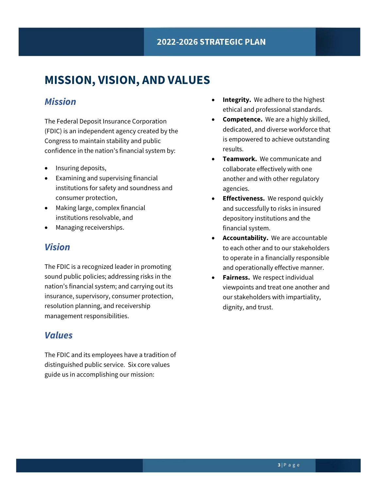# <span id="page-3-0"></span>**MISSION, VISION, AND VALUES**

## <span id="page-3-1"></span>*Mission*

The Federal Deposit Insurance Corporation (FDIC) is an independent agency created by the Congress to maintain stability and public confidence in the nation's financial system by:

- Insuring deposits,
- Examining and supervising financial institutions for safety and soundness and consumer protection,
- Making large, complex financial institutions resolvable, and
- Managing receiverships.

## <span id="page-3-2"></span>*Vision*

The FDIC is a recognized leader in promoting sound public policies; addressing risks in the nation's financial system; and carrying out its insurance, supervisory, consumer protection, resolution planning, and receivership management responsibilities.

## <span id="page-3-3"></span>*Values*

The FDIC and its employees have a tradition of distinguished public service. Six core values guide us in accomplishing our mission:

- **Integrity.** We adhere to the highest ethical and professional standards.
- **Competence.** We are a highly skilled, dedicated, and diverse workforce that is empowered to achieve outstanding results.
- **Teamwork.** We communicate and collaborate effectively with one another and with other regulatory agencies.
- **Effectiveness.** We respond quickly and successfully to risks in insured depository institutions and the financial system.
- **Accountability.** We are accountable to each other and to our stakeholders to operate in a financially responsible and operationally effective manner.
- **Fairness.** We respect individual viewpoints and treat one another and our stakeholders with impartiality, dignity, and trust.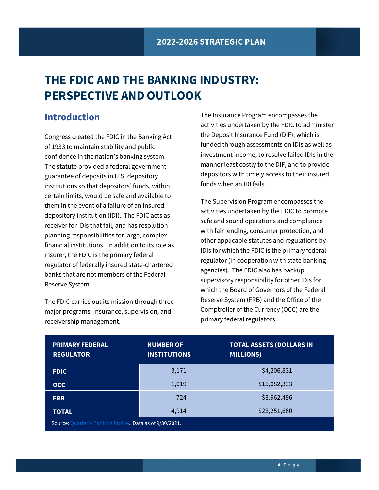# <span id="page-4-0"></span>**THE FDIC AND THE BANKING INDUSTRY: PERSPECTIVE AND OUTLOOK**

## <span id="page-4-1"></span>**Introduction**

Congress created the FDIC in the Banking Act of 1933 to maintain stability and public confidence in the nation's banking system. The statute provided a federal government guarantee of deposits in U.S. depository institutions so that depositors' funds, within certain limits, would be safe and available to them in the event of a failure of an insured depository institution (IDI). The FDIC acts as receiver for IDIs that fail, and has resolution planning responsibilities for large, complex financial institutions. In addition to its role as insurer, the FDIC is the primary federal regulator of federally insured state-chartered banks that are not members of the Federal Reserve System.

The FDIC carries out its mission through three major programs: insurance, supervision, and receivership management.

The Insurance Program encompasses the activities undertaken by the FDIC to administer the Deposit Insurance Fund (DIF), which is funded through assessments on IDIs as well as investment income, to resolve failed IDIs in the manner least costly to the DIF, and to provide depositors with timely access to their insured funds when an IDI fails.

The Supervision Program encompasses the activities undertaken by the FDIC to promote safe and sound operations and compliance with fair lending, consumer protection, and other applicable statutes and regulations by IDIs for which the FDIC is the primary federal regulator (in cooperation with state banking agencies). The FDIC also has backup supervisory responsibility for other IDIs for which the Board of Governors of the Federal Reserve System (FRB) and the Office of the Comptroller of the Currency (OCC) are the primary federal regulators.

| <b>PRIMARY FEDERAL</b><br><b>REGULATOR</b>               | <b>NUMBER OF</b><br><b>INSTITUTIONS</b> | <b>TOTAL ASSETS (DOLLARS IN</b><br><b>MILLIONS)</b> |
|----------------------------------------------------------|-----------------------------------------|-----------------------------------------------------|
| <b>FDIC</b>                                              | 3,171                                   | \$4,206,831                                         |
| <b>OCC</b>                                               | 1,019                                   | \$15,082,333                                        |
| <b>FRB</b>                                               | 724                                     | \$3,962,496                                         |
| <b>TOTAL</b>                                             | 4,914                                   | \$23,251,660                                        |
| Source: Ouarterly Banking Profile. Data as of 9/30/2021. |                                         |                                                     |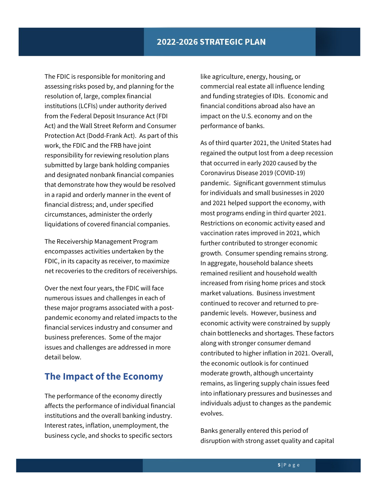The FDIC is responsible for monitoring and assessing risks posed by, and planning for the resolution of, large, complex financial institutions (LCFIs) under authority derived from the Federal Deposit Insurance Act (FDI Act) and the Wall Street Reform and Consumer Protection Act (Dodd-Frank Act). As part of this work, the FDIC and the FRB have joint responsibility for reviewing resolution plans submitted by large bank holding companies and designated nonbank financial companies that demonstrate how they would be resolved in a rapid and orderly manner in the event of financial distress; and, under specified circumstances, administer the orderly liquidations of covered financial companies.

The Receivership Management Program encompasses activities undertaken by the FDIC, in its capacity as receiver, to maximize net recoveries to the creditors of receiverships.

Over the next four years, the FDIC will face numerous issues and challenges in each of these major programs associated with a postpandemic economy and related impacts to the financial services industry and consumer and business preferences. Some of the major issues and challenges are addressed in more detail below.

## <span id="page-5-0"></span>**The Impact of the Economy**

The performance of the economy directly affects the performance of individual financial institutions and the overall banking industry. Interest rates, inflation, unemployment, the business cycle, and shocks to specific sectors

like agriculture, energy, housing, or commercial real estate all influence lending and funding strategies of IDIs. Economic and financial conditions abroad also have an impact on the U.S. economy and on the performance of banks.

As of third quarter 2021, the United States had regained the output lost from a deep recession that occurred in early 2020 caused by the Coronavirus Disease 2019 (COVID-19) pandemic. Significant government stimulus for individuals and small businesses in 2020 and 2021 helped support the economy, with most programs ending in third quarter 2021. Restrictions on economic activity eased and vaccination rates improved in 2021, which further contributed to stronger economic growth. Consumer spending remains strong. In aggregate, household balance sheets remained resilient and household wealth increased from rising home prices and stock market valuations. Business investment continued to recover and returned to prepandemic levels. However, business and economic activity were constrained by supply chain bottlenecks and shortages. These factors along with stronger consumer demand contributed to higher inflation in 2021. Overall, the economic outlook is for continued moderate growth, although uncertainty remains, as lingering supply chain issues feed into inflationary pressures and businesses and individuals adjust to changes as the pandemic evolves.

Banks generally entered this period of disruption with strong asset quality and capital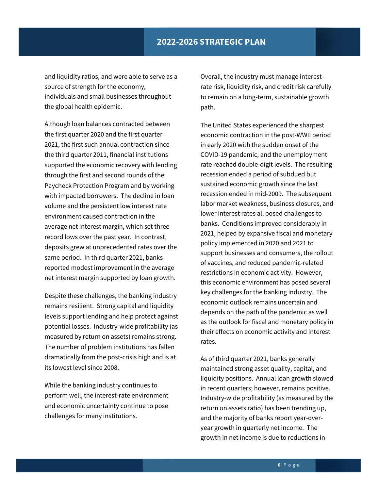and liquidity ratios, and were able to serve as a source of strength for the economy, individuals and small businesses throughout the global health epidemic.

Although loan balances contracted between the first quarter 2020 and the first quarter 2021, the first such annual contraction since the third quarter 2011, financial institutions supported the economic recovery with lending through the first and second rounds of the Paycheck Protection Program and by working with impacted borrowers. The decline in loan volume and the persistent low interest rate environment caused contraction in the average net interest margin, which set three record lows over the past year. In contrast, deposits grew at unprecedented rates over the same period. In third quarter 2021, banks reported modest improvement in the average net interest margin supported by loan growth.

Despite these challenges, the banking industry remains resilient. Strong capital and liquidity levels support lending and help protect against potential losses. Industry-wide profitability (as measured by return on assets) remains strong. The number of problem institutions has fallen dramatically from the post-crisis high and is at its lowest level since 2008.

While the banking industry continues to perform well, the interest-rate environment and economic uncertainty continue to pose challenges for many institutions.

Overall, the industry must manage interestrate risk, liquidity risk, and credit risk carefully to remain on a long-term, sustainable growth path.

The United States experienced the sharpest economic contraction in the post-WWII period in early 2020 with the sudden onset of the COVID-19 pandemic, and the unemployment rate reached double-digit levels. The resulting recession ended a period of subdued but sustained economic growth since the last recession ended in mid-2009. The subsequent labor market weakness, business closures, and lower interest rates all posed challenges to banks. Conditions improved considerably in 2021, helped by expansive fiscal and monetary policy implemented in 2020 and 2021 to support businesses and consumers, the rollout of vaccines, and reduced pandemic-related restrictions in economic activity. However, this economic environment has posed several key challenges for the banking industry. The economic outlook remains uncertain and depends on the path of the pandemic as well as the outlook for fiscal and monetary policy in their effects on economic activity and interest rates.

As of third quarter 2021, banks generally maintained strong asset quality, capital, and liquidity positions. Annual loan growth slowed in recent quarters; however, remains positive. Industry-wide profitability (as measured by the return on assets ratio) has been trending up, and the majority of banks report year-overyear growth in quarterly net income. The growth in net income is due to reductions in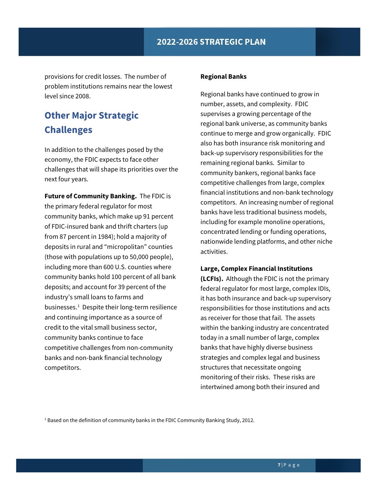provisions for credit losses. The number of problem institutions remains near the lowest level since 2008.

## <span id="page-7-0"></span>**Other Major Strategic Challenges**

In addition to the challenges posed by the economy, the FDIC expects to face other challenges that will shape its priorities over the next four years.

**Future of Community Banking.** The FDIC is the primary federal regulator for most community banks, which make up 91 percent of FDIC-insured bank and thrift charters (up from 87 percent in 1984); hold a majority of deposits in rural and "micropolitan" counties (those with populations up to 50,000 people), including more than 600 U.S. counties where community banks hold 100 percent of all bank deposits; and account for 39 percent of the industry's small loans to farms and businesses.<sup>1</sup> Despite their long-term resilience and continuing importance as a source of credit to the vital small business sector, community banks continue to face competitive challenges from non-community banks and non-bank financial technology competitors.

#### **Regional Banks**

Regional banks have continued to grow in number, assets, and complexity. FDIC supervises a growing percentage of the regional bank universe, as community banks continue to merge and grow organically. FDIC also has both insurance risk monitoring and back-up supervisory responsibilities for the remaining regional banks. Similar to community bankers, regional banks face competitive challenges from large, complex financial institutions and non-bank technology competitors. An increasing number of regional banks have less traditional business models, including for example monoline operations, concentrated lending or funding operations, nationwide lending platforms, and other niche activities.

#### **Large, Complex Financial Institutions**

**(LCFIs).** Although the FDIC is not the primary federal regulator for most large, complex IDIs, it has both insurance and back-up supervisory responsibilities for those institutions and acts as receiver for those that fail. The assets within the banking industry are concentrated today in a small number of large, complex banks that have highly diverse business strategies and complex legal and business structures that necessitate ongoing monitoring of their risks. These risks are intertwined among both their insured and

<span id="page-7-1"></span><sup>1</sup> Based on the definition of community banks in the FDIC Community Banking Study, 2012.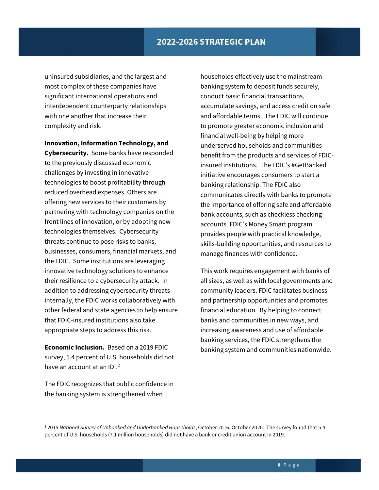uninsured subsidiaries, and the largest and most complex of these companies have significant international operations and interdependent counterparty relationships with one another that increase their complexity and risk.

**Innovation, Information Technology, and Cybersecurity.** Some banks have responded to the previously discussed economic challenges by investing in innovative technologies to boost profitability through reduced overhead expenses. Others are offering new services to their customers by partnering with technology companies on the front lines of innovation, or by adopting new technologies themselves. Cybersecurity threats continue to pose risks to banks, businesses, consumers, financial markets, and the FDIC. Some institutions are leveraging innovative technology solutions to enhance their resilience to a cybersecurity attack. In addition to addressing cybersecurity threats internally, the FDIC works collaboratively with other federal and state agencies to help ensure that FDIC-insured institutions also take appropriate steps to address this risk.

**Economic Inclusion.** Based on a 2019 FDIC survey, 5.4 percent of U.S. households did not have an account at an IDI.<sup>[2](#page-8-0)</sup>

The FDIC recognizes that public confidence in the banking system is strengthened when

households effectively use the mainstream banking system to deposit funds securely, conduct basic financial transactions, accumulate savings, and access credit on safe and affordable terms. The FDIC will continue to promote greater economic inclusion and financial well-being by helping more underserved households and communities benefit from the products and services of FDICinsured institutions. The FDIC's #GetBanked initiative encourages consumers to start a banking relationship. The FDIC also communicates directly with banks to promote the importance of offering safe and affordable bank accounts, such as checkless checking accounts. FDIC's Money Smart program provides people with practical knowledge, skills-building opportunities, and resources to manage finances with confidence.

This work requires engagement with banks of all sizes, as well as with local governments and community leaders. FDIC facilitates business and partnership opportunities and promotes financial education. By helping to connect banks and communities in new ways, and increasing awareness and use of affordable banking services, the FDIC strengthens the banking system and communities nationwide.

<span id="page-8-0"></span><sup>2</sup> 2015 *National Survey of Unbanked and Underbanked Households*, October 2016, October 2020. The survey found that 5.4 percent of U.S. households (7.1 million households) did not have a bank or credit union account in 2019.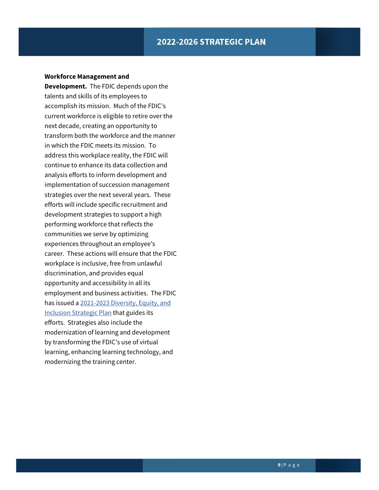#### **Workforce Management and**

**Development.** The FDIC depends upon the talents and skills of its employees to accomplish its mission. Much of the FDIC's current workforce is eligible to retire over the next decade, creating an opportunity to transform both the workforce and the manner in which the FDIC meets its mission. To address this workplace reality, the FDIC will continue to enhance its data collection and analysis efforts to inform development and implementation of succession management strategies over the next several years. These efforts will include specific recruitment and development strategies to support a high performing workforce that reflects the communities we serve by optimizing experiences throughout an employee's career. These actions will ensure that the FDIC workplace is inclusive, free from unlawful discrimination, and provides equal opportunity and accessibility in all its employment and business activities. The FDIC has issued [a 2021-2023 Diversity, Equity, and](https://www.fdic.gov/about/diversity/pdf/dei2021.pdf)  [Inclusion Strategic Plan](https://www.fdic.gov/about/diversity/pdf/dei2021.pdf) that guides its efforts. Strategies also include the modernization of learning and development by transforming the FDIC's use of virtual learning, enhancing learning technology, and modernizing the training center.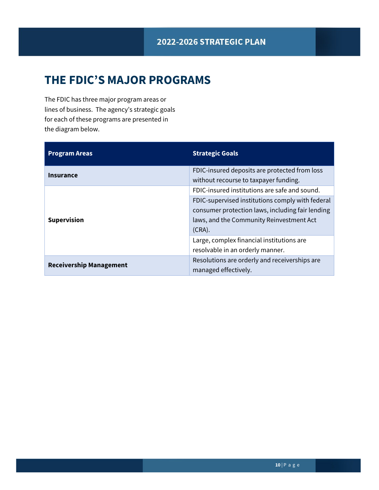# <span id="page-10-0"></span>**THE FDIC'S MAJOR PROGRAMS**

The FDIC has three major program areas or lines of business. The agency's strategic goals for each of these programs are presented in the diagram below.

| <b>Program Areas</b>           | <b>Strategic Goals</b>                                                |
|--------------------------------|-----------------------------------------------------------------------|
| Insurance                      | FDIC-insured deposits are protected from loss                         |
|                                | without recourse to taxpayer funding.                                 |
|                                | FDIC-insured institutions are safe and sound.                         |
|                                | FDIC-supervised institutions comply with federal                      |
|                                | consumer protection laws, including fair lending                      |
| <b>Supervision</b>             | laws, and the Community Reinvestment Act                              |
| <b>Receivership Management</b> | $(CRA)$ .                                                             |
|                                | Large, complex financial institutions are                             |
|                                | resolvable in an orderly manner.                                      |
|                                | Resolutions are orderly and receiverships are<br>managed effectively. |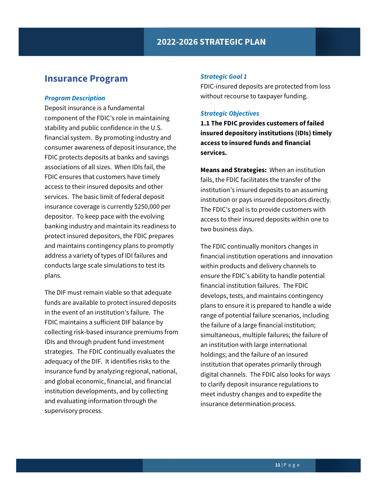## <span id="page-11-0"></span>**Insurance Program**

#### *Program Description*

Deposit insurance is a fundamental component of the FDIC's role in maintaining stability and public confidence in the U.S. financial system. By promoting industry and consumer awareness of deposit insurance, the FDIC protects deposits at banks and savings associations of all sizes. When IDIs fail, the FDIC ensures that customers have timely access to their insured deposits and other services. The basic limit of federal deposit insurance coverage is currently \$250,000 per depositor. To keep pace with the evolving banking industry and maintain its readiness to protect insured depositors, the FDIC prepares and maintains contingency plans to promptly address a variety of types of IDI failures and conducts large scale simulations to test its plans.

The DIF must remain viable so that adequate funds are available to protect insured deposits in the event of an institution's failure. The FDIC maintains a sufficient DIF balance by collecting risk-based insurance premiums from IDIs and through prudent fund investment strategies. The FDIC continually evaluates the adequacy of the DIF. It identifies risks to the insurance fund by analyzing regional, national, and global economic, financial, and financial institution developments, and by collecting and evaluating information through the supervisory process.

#### *Strategic Goal 1*

FDIC-insured deposits are protected from loss without recourse to taxpayer funding.

#### *Strategic Objectives*

**1.1 The FDIC provides customers of failed insured depository institutions (IDIs) timely access to insured funds and financial services.**

**Means and Strategies:** When an institution fails, the FDIC facilitates the transfer of the institution's insured deposits to an assuming institution or pays insured depositors directly. The FDIC's goal is to provide customers with access to their insured deposits within one to two business days.

The FDIC continually monitors changes in financial institution operations and innovation within products and delivery channels to ensure the FDIC's ability to handle potential financial institution failures. The FDIC develops, tests, and maintains contingency plans to ensure it is prepared to handle a wide range of potential failure scenarios, including the failure of a large financial institution; simultaneous, multiple failures; the failure of an institution with large international holdings; and the failure of an insured institution that operates primarily through digital channels. The FDIC also looks for ways to clarify deposit insurance regulations to meet industry changes and to expedite the insurance determination process.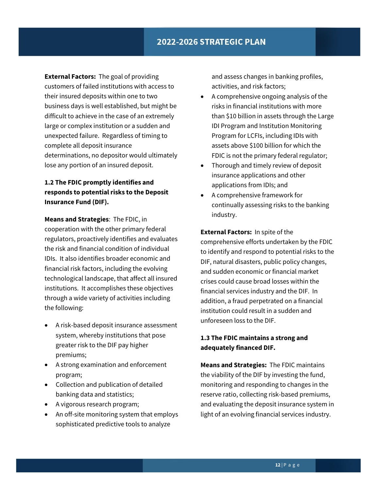**External Factors:** The goal of providing customers of failed institutions with access to their insured deposits within one to two business days is well established, but might be difficult to achieve in the case of an extremely large or complex institution or a sudden and unexpected failure. Regardless of timing to complete all deposit insurance determinations, no depositor would ultimately lose any portion of an insured deposit.

### **1.2 The FDIC promptly identifies and responds to potential risks to the Deposit Insurance Fund (DIF).**

**Means and Strategies**: The FDIC, in cooperation with the other primary federal regulators, proactively identifies and evaluates the risk and financial condition of individual IDIs. It also identifies broader economic and financial risk factors, including the evolving technological landscape, that affect all insured institutions. It accomplishes these objectives through a wide variety of activities including the following:

- A risk-based deposit insurance assessment system, whereby institutions that pose greater risk to the DIF pay higher premiums;
- A strong examination and enforcement program;
- Collection and publication of detailed banking data and statistics;
- A vigorous research program;
- An off-site monitoring system that employs sophisticated predictive tools to analyze

and assess changes in banking profiles, activities, and risk factors;

- A comprehensive ongoing analysis of the risks in financial institutions with more than \$10 billion in assets through the Large IDI Program and Institution Monitoring Program for LCFIs, including IDIs with assets above \$100 billion for which the FDIC is not the primary federal regulator;
- Thorough and timely review of deposit insurance applications and other applications from IDIs; and
- A comprehensive framework for continually assessing risks to the banking industry.

## **External Factors:** In spite of the comprehensive efforts undertaken by the FDIC to identify and respond to potential risks to the DIF, natural disasters, public policy changes, and sudden economic or financial market crises could cause broad losses within the financial services industry and the DIF. In addition, a fraud perpetrated on a financial institution could result in a sudden and unforeseen loss to the DIF.

### **1.3 The FDIC maintains a strong and adequately financed DIF.**

**Means and Strategies:** The FDIC maintains the viability of the DIF by investing the fund, monitoring and responding to changes in the reserve ratio, collecting risk-based premiums, and evaluating the deposit insurance system in light of an evolving financial services industry.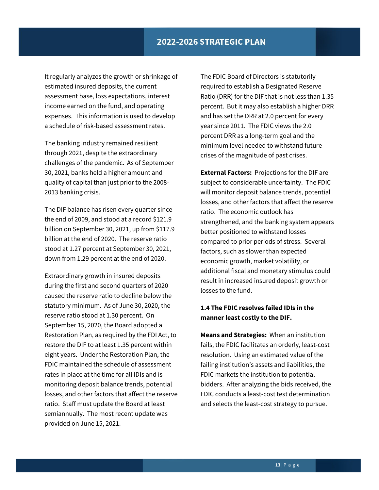It regularly analyzes the growth or shrinkage of estimated insured deposits, the current assessment base, loss expectations, interest income earned on the fund, and operating expenses. This information is used to develop a schedule of risk-based assessment rates.

The banking industry remained resilient through 2021, despite the extraordinary challenges of the pandemic. As of September 30, 2021, banks held a higher amount and quality of capital than just prior to the 2008- 2013 banking crisis.

The DIF balance has risen every quarter since the end of 2009, and stood at a record \$121.9 billion on September 30, 2021, up from \$117.9 billion at the end of 2020. The reserve ratio stood at 1.27 percent at September 30, 2021, down from 1.29 percent at the end of 2020.

Extraordinary growth in insured deposits during the first and second quarters of 2020 caused the reserve ratio to decline below the statutory minimum. As of June 30, 2020, the reserve ratio stood at 1.30 percent. On September 15, 2020, the Board adopted a Restoration Plan, as required by the FDI Act, to restore the DIF to at least 1.35 percent within eight years. Under the Restoration Plan, the FDIC maintained the schedule of assessment rates in place at the time for all IDIs and is monitoring deposit balance trends, potential losses, and other factors that affect the reserve ratio. Staff must update the Board at least semiannually. The most recent update was provided on June 15, 2021.

The FDIC Board of Directors is statutorily required to establish a Designated Reserve Ratio (DRR) for the DIF that is not less than 1.35 percent. But it may also establish a higher DRR and has set the DRR at 2.0 percent for every year since 2011. The FDIC views the 2.0 percent DRR as a long-term goal and the minimum level needed to withstand future crises of the magnitude of past crises.

**External Factors:** Projections for the DIF are subject to considerable uncertainty. The FDIC will monitor deposit balance trends, potential losses, and other factors that affect the reserve ratio. The economic outlook has strengthened, and the banking system appears better positioned to withstand losses compared to prior periods of stress. Several factors, such as slower than expected economic growth, market volatility, or additional fiscal and monetary stimulus could result in increased insured deposit growth or losses to the fund.

### **1.4 The FDIC resolves failed IDIs in the manner least costly to the DIF.**

**Means and Strategies:** When an institution fails, the FDIC facilitates an orderly, least-cost resolution. Using an estimated value of the failing institution's assets and liabilities, the FDIC markets the institution to potential bidders. After analyzing the bids received, the FDIC conducts a least-cost test determination and selects the least-cost strategy to pursue.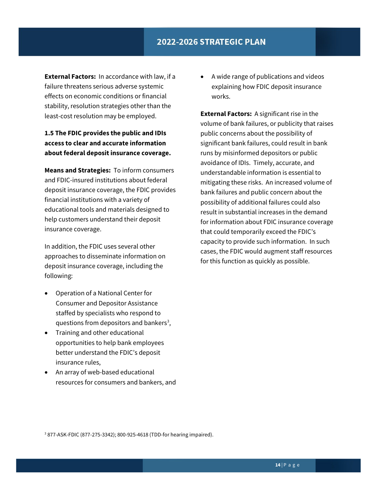**External Factors:** In accordance with law, if a failure threatens serious adverse systemic effects on economic conditions or financial stability, resolution strategies other than the least-cost resolution may be employed.

### **1.5 The FDIC provides the public and IDIs access to clear and accurate information about federal deposit insurance coverage.**

**Means and Strategies:** To inform consumers and FDIC-insured institutions about federal deposit insurance coverage, the FDIC provides financial institutions with a variety of educational tools and materials designed to help customers understand their deposit insurance coverage.

In addition, the FDIC uses several other approaches to disseminate information on deposit insurance coverage, including the following:

- Operation of a National Center for Consumer and Depositor Assistance staffed by specialists who respond to questions from depositors and bankers<sup>[3](#page-14-0)</sup>,
- Training and other educational opportunities to help bank employees better understand the FDIC's deposit insurance rules,
- An array of web-based educational resources for consumers and bankers, and

• A wide range of publications and videos explaining how FDIC deposit insurance works.

**External Factors:** A significant rise in the volume of bank failures, or publicity that raises public concerns about the possibility of significant bank failures, could result in bank runs by misinformed depositors or public avoidance of IDIs. Timely, accurate, and understandable information is essential to mitigating these risks. An increased volume of bank failures and public concern about the possibility of additional failures could also result in substantial increases in the demand for information about FDIC insurance coverage that could temporarily exceed the FDIC's capacity to provide such information. In such cases, the FDIC would augment staff resources for this function as quickly as possible.

<span id="page-14-0"></span><sup>3</sup> 877-ASK-FDIC (877-275-3342); 800-925-4618 (TDD-for hearing impaired).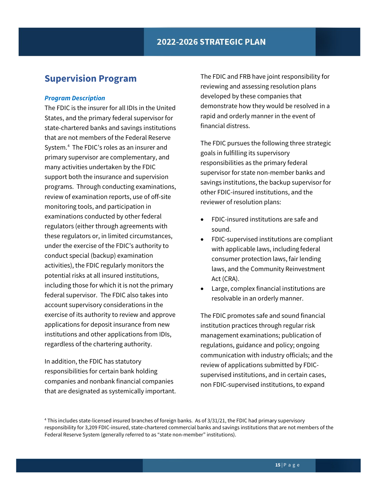## <span id="page-15-0"></span>**Supervision Program**

#### *Program Description*

The FDIC is the insurer for all IDIs in the United States, and the primary federal supervisor for state-chartered banks and savings institutions that are not members of the Federal Reserve System.[4](#page-15-1) The FDIC's roles as an insurer and primary supervisor are complementary, and many activities undertaken by the FDIC support both the insurance and supervision programs. Through conducting examinations, review of examination reports, use of off-site monitoring tools, and participation in examinations conducted by other federal regulators (either through agreements with these regulators or, in limited circumstances, under the exercise of the FDIC's authority to conduct special (backup) examination activities), the FDIC regularly monitors the potential risks at all insured institutions, including those for which it is not the primary federal supervisor. The FDIC also takes into account supervisory considerations in the exercise of its authority to review and approve applications for deposit insurance from new institutions and other applications from IDIs, regardless of the chartering authority.

In addition, the FDIC has statutory responsibilities for certain bank holding companies and nonbank financial companies that are designated as systemically important. The FDIC and FRB have joint responsibility for reviewing and assessing resolution plans developed by these companies that demonstrate how they would be resolved in a rapid and orderly manner in the event of financial distress.

The FDIC pursues the following three strategic goals in fulfilling its supervisory responsibilities as the primary federal supervisor for state non-member banks and savings institutions, the backup supervisor for other FDIC-insured institutions, and the reviewer of resolution plans:

- FDIC-insured institutions are safe and sound.
- FDIC-supervised institutions are compliant with applicable laws, including federal consumer protection laws, fair lending laws, and the Community Reinvestment Act (CRA).
- Large, complex financial institutions are resolvable in an orderly manner.

The FDIC promotes safe and sound financial institution practices through regular risk management examinations; publication of regulations, guidance and policy; ongoing communication with industry officials; and the review of applications submitted by FDICsupervised institutions, and in certain cases, non FDIC-supervised institutions, to expand

<span id="page-15-1"></span><sup>4</sup> This includes state-licensed insured branches of foreign banks. As of 3/31/21, the FDIC had primary supervisory responsibility for 3,209 FDIC-insured, state-chartered commercial banks and savings institutions that are not members of the Federal Reserve System (generally referred to as "state non-member" institutions).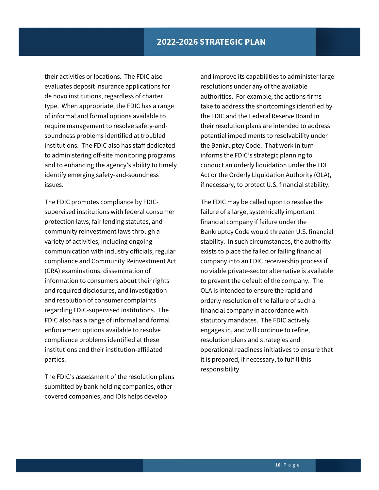their activities or locations. The FDIC also evaluates deposit insurance applications for de novo institutions, regardless of charter type. When appropriate, the FDIC has a range of informal and formal options available to require management to resolve safety-andsoundness problems identified at troubled institutions. The FDIC also has staff dedicated to administering off-site monitoring programs and to enhancing the agency's ability to timely identify emerging safety-and-soundness issues.

The FDIC promotes compliance by FDICsupervised institutions with federal consumer protection laws, fair lending statutes, and community reinvestment laws through a variety of activities, including ongoing communication with industry officials, regular compliance and Community Reinvestment Act (CRA) examinations, dissemination of information to consumers about their rights and required disclosures, and investigation and resolution of consumer complaints regarding FDIC-supervised institutions. The FDIC also has a range of informal and formal enforcement options available to resolve compliance problems identified at these institutions and their institution-affiliated parties.

The FDIC's assessment of the resolution plans submitted by bank holding companies, other covered companies, and IDIs helps develop

and improve its capabilities to administer large resolutions under any of the available authorities. For example, the actions firms take to address the shortcomings identified by the FDIC and the Federal Reserve Board in their resolution plans are intended to address potential impediments to resolvability under the Bankruptcy Code. That work in turn informs the FDIC's strategic planning to conduct an orderly liquidation under the FDI Act or the Orderly Liquidation Authority (OLA), if necessary, to protect U.S. financial stability.

The FDIC may be called upon to resolve the failure of a large, systemically important financial company if failure under the Bankruptcy Code would threaten U.S. financial stability. In such circumstances, the authority exists to place the failed or failing financial company into an FDIC receivership process if no viable private-sector alternative is available to prevent the default of the company. The OLA is intended to ensure the rapid and orderly resolution of the failure of such a financial company in accordance with statutory mandates. The FDIC actively engages in, and will continue to refine, resolution plans and strategies and operational readiness initiatives to ensure that it is prepared, if necessary, to fulfill this responsibility.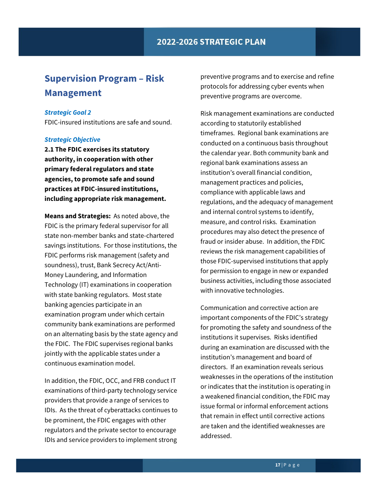## <span id="page-17-0"></span>**Supervision Program – Risk Management**

#### *Strategic Goal 2*

FDIC-insured institutions are safe and sound.

#### *Strategic Objective*

**2.1 The FDIC exercises its statutory authority, in cooperation with other primary federal regulators and state agencies, to promote safe and sound practices at FDIC-insured institutions, including appropriate risk management.**

**Means and Strategies:** As noted above, the FDIC is the primary federal supervisor for all state non-member banks and state-chartered savings institutions. For those institutions, the FDIC performs risk management (safety and soundness), trust, Bank Secrecy Act/Anti-Money Laundering, and Information Technology (IT) examinations in cooperation with state banking regulators. Most state banking agencies participate in an examination program under which certain community bank examinations are performed on an alternating basis by the state agency and the FDIC. The FDIC supervises regional banks jointly with the applicable states under a continuous examination model.

In addition, the FDIC, OCC, and FRB conduct IT examinations of third-party technology service providers that provide a range of services to IDIs. As the threat of cyberattacks continues to be prominent, the FDIC engages with other regulators and the private sector to encourage IDIs and service providers to implement strong

preventive programs and to exercise and refine protocols for addressing cyber events when preventive programs are overcome.

Risk management examinations are conducted according to statutorily established timeframes. Regional bank examinations are conducted on a continuous basis throughout the calendar year. Both community bank and regional bank examinations assess an institution's overall financial condition, management practices and policies, compliance with applicable laws and regulations, and the adequacy of management and internal control systems to identify, measure, and control risks. Examination procedures may also detect the presence of fraud or insider abuse. In addition, the FDIC reviews the risk management capabilities of those FDIC-supervised institutions that apply for permission to engage in new or expanded business activities, including those associated with innovative technologies.

Communication and corrective action are important components of the FDIC's strategy for promoting the safety and soundness of the institutions it supervises. Risks identified during an examination are discussed with the institution's management and board of directors. If an examination reveals serious weaknesses in the operations of the institution or indicates that the institution is operating in a weakened financial condition, the FDIC may issue formal or informal enforcement actions that remain in effect until corrective actions are taken and the identified weaknesses are addressed.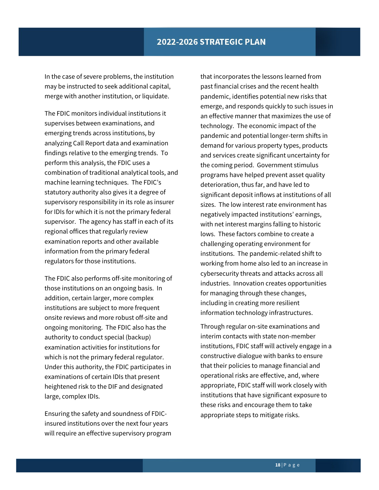In the case of severe problems, the institution may be instructed to seek additional capital, merge with another institution, or liquidate.

The FDIC monitors individual institutions it supervises between examinations, and emerging trends across institutions, by analyzing Call Report data and examination findings relative to the emerging trends. To perform this analysis, the FDIC uses a combination of traditional analytical tools, and machine learning techniques. The FDIC's statutory authority also gives it a degree of supervisory responsibility in its role as insurer for IDIs for which it is not the primary federal supervisor. The agency has staff in each of its regional offices that regularly review examination reports and other available information from the primary federal regulators for those institutions.

The FDIC also performs off-site monitoring of those institutions on an ongoing basis. In addition, certain larger, more complex institutions are subject to more frequent onsite reviews and more robust off-site and ongoing monitoring. The FDIC also has the authority to conduct special (backup) examination activities for institutions for which is not the primary federal regulator. Under this authority, the FDIC participates in examinations of certain IDIs that present heightened risk to the DIF and designated large, complex IDIs.

Ensuring the safety and soundness of FDICinsured institutions over the next four years will require an effective supervisory program

that incorporates the lessons learned from past financial crises and the recent health pandemic, identifies potential new risks that emerge, and responds quickly to such issues in an effective manner that maximizes the use of technology. The economic impact of the pandemic and potential longer-term shifts in demand for various property types, products and services create significant uncertainty for the coming period. Government stimulus programs have helped prevent asset quality deterioration, thus far, and have led to significant deposit inflows at institutions of all sizes. The low interest rate environment has negatively impacted institutions' earnings, with net interest margins falling to historic lows. These factors combine to create a challenging operating environment for institutions. The pandemic-related shift to working from home also led to an increase in cybersecurity threats and attacks across all industries. Innovation creates opportunities for managing through these changes, including in creating more resilient information technology infrastructures.

Through regular on-site examinations and interim contacts with state non-member institutions, FDIC staff will actively engage in a constructive dialogue with banks to ensure that their policies to manage financial and operational risks are effective, and, where appropriate, FDIC staff will work closely with institutions that have significant exposure to these risks and encourage them to take appropriate steps to mitigate risks.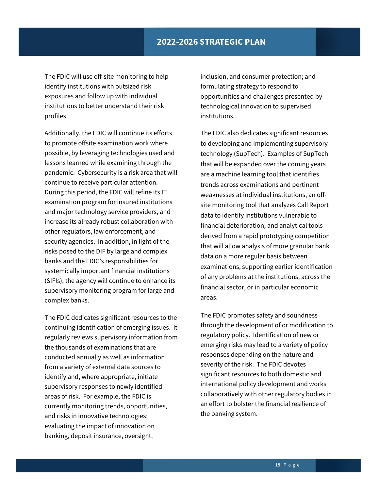The FDIC will use off-site monitoring to help identify institutions with outsized risk exposures and follow up with individual institutions to better understand their risk profiles.

Additionally, the FDIC will continue its efforts to promote offsite examination work where possible, by leveraging technologies used and lessons learned while examining through the pandemic. Cybersecurity is a risk area that will continue to receive particular attention. During this period, the FDIC will refine its IT examination program for insured institutions and major technology service providers, and increase its already robust collaboration with other regulators, law enforcement, and security agencies. In addition, in light of the risks posed to the DIF by large and complex banks and the FDIC's responsibilities for systemically important financial institutions (SIFIs), the agency will continue to enhance its supervisory monitoring program for large and complex banks.

The FDIC dedicates significant resources to the continuing identification of emerging issues. It regularly reviews supervisory information from the thousands of examinations that are conducted annually as well as information from a variety of external data sources to identify and, where appropriate, initiate supervisory responses to newly identified areas of risk. For example, the FDIC is currently monitoring trends, opportunities, and risks in innovative technologies; evaluating the impact of innovation on banking, deposit insurance, oversight,

inclusion, and consumer protection; and formulating strategy to respond to opportunities and challenges presented by technological innovation to supervised institutions.

The FDIC also dedicates significant resources to developing and implementing supervisory technology (SupTech). Examples of SupTech that will be expanded over the coming years are a machine learning tool that identifies trends across examinations and pertinent weaknesses at individual institutions, an offsite monitoring tool that analyzes Call Report data to identify institutions vulnerable to financial deterioration, and analytical tools derived from a rapid prototyping competition that will allow analysis of more granular bank data on a more regular basis between examinations, supporting earlier identification of any problems at the institutions, across the financial sector, or in particular economic areas.

The FDIC promotes safety and soundness through the development of or modification to regulatory policy. Identification of new or emerging risks may lead to a variety of policy responses depending on the nature and severity of the risk. The FDIC devotes significant resources to both domestic and international policy development and works collaboratively with other regulatory bodies in an effort to bolster the financial resilience of the banking system.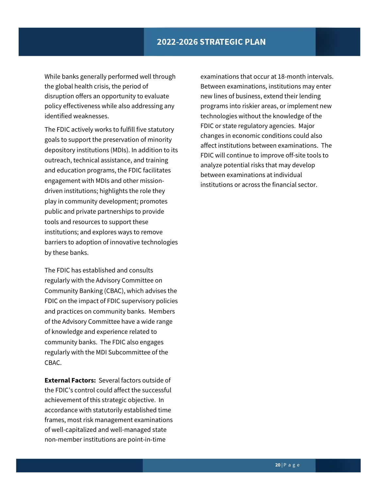While banks generally performed well through the global health crisis, the period of disruption offers an opportunity to evaluate policy effectiveness while also addressing any identified weaknesses.

The FDIC actively works to fulfill five statutory goals to support the preservation of minority depository institutions (MDIs). In addition to its outreach, technical assistance, and training and education programs, the FDIC facilitates engagement with MDIs and other missiondriven institutions; highlights the role they play in community development; promotes public and private partnerships to provide tools and resources to support these institutions; and explores ways to remove barriers to adoption of innovative technologies by these banks.

The FDIC has established and consults regularly with the Advisory Committee on Community Banking (CBAC), which advises the FDIC on the impact of FDIC supervisory policies and practices on community banks. Members of the Advisory Committee have a wide range of knowledge and experience related to community banks. The FDIC also engages regularly with the MDI Subcommittee of the CBAC.

**External Factors:** Several factors outside of the FDIC's control could affect the successful achievement of this strategic objective. In accordance with statutorily established time frames, most risk management examinations of well-capitalized and well-managed state non-member institutions are point-in-time

examinations that occur at 18-month intervals. Between examinations, institutions may enter new lines of business, extend their lending programs into riskier areas, or implement new technologies without the knowledge of the FDIC or state regulatory agencies. Major changes in economic conditions could also affect institutions between examinations. The FDIC will continue to improve off-site tools to analyze potential risks that may develop between examinations at individual institutions or across the financial sector.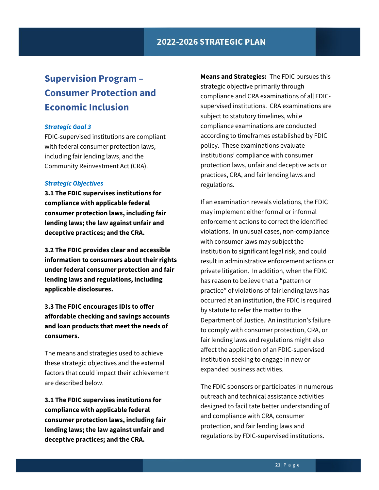# <span id="page-21-0"></span>**Supervision Program – Consumer Protection and Economic Inclusion**

#### *Strategic Goal 3*

FDIC-supervised institutions are compliant with federal consumer protection laws, including fair lending laws, and the Community Reinvestment Act (CRA).

#### *Strategic Objectives*

**3.1 The FDIC supervises institutions for compliance with applicable federal consumer protection laws, including fair lending laws; the law against unfair and deceptive practices; and the CRA.**

**3.2 The FDIC provides clear and accessible information to consumers about their rights under federal consumer protection and fair lending laws and regulations, including applicable disclosures.**

**3.3 The FDIC encourages IDIs to offer affordable checking and savings accounts and loan products that meet the needs of consumers.**

The means and strategies used to achieve these strategic objectives and the external factors that could impact their achievement are described below.

**3.1 The FDIC supervises institutions for compliance with applicable federal consumer protection laws, including fair lending laws; the law against unfair and deceptive practices; and the CRA.**

**Means and Strategies:** The FDIC pursues this strategic objective primarily through compliance and CRA examinations of all FDICsupervised institutions. CRA examinations are subject to statutory timelines, while compliance examinations are conducted according to timeframes established by FDIC policy. These examinations evaluate institutions' compliance with consumer protection laws, unfair and deceptive acts or practices, CRA, and fair lending laws and regulations.

If an examination reveals violations, the FDIC may implement either formal or informal enforcement actions to correct the identified violations. In unusual cases, non-compliance with consumer laws may subject the institution to significant legal risk, and could result in administrative enforcement actions or private litigation. In addition, when the FDIC has reason to believe that a "pattern or practice" of violations of fair lending laws has occurred at an institution, the FDIC is required by statute to refer the matter to the Department of Justice. An institution's failure to comply with consumer protection, CRA, or fair lending laws and regulations might also affect the application of an FDIC-supervised institution seeking to engage in new or expanded business activities.

The FDIC sponsors or participates in numerous outreach and technical assistance activities designed to facilitate better understanding of and compliance with CRA, consumer protection, and fair lending laws and regulations by FDIC-supervised institutions.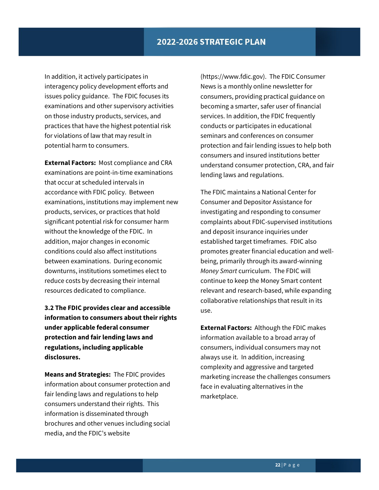In addition, it actively participates in interagency policy development efforts and issues policy guidance. The FDIC focuses its examinations and other supervisory activities on those industry products, services, and practices that have the highest potential risk for violations of law that may result in potential harm to consumers.

**External Factors:** Most compliance and CRA examinations are point-in-time examinations that occur at scheduled intervals in accordance with FDIC policy. Between examinations, institutions may implement new products, services, or practices that hold significant potential risk for consumer harm without the knowledge of the FDIC. In addition, major changes in economic conditions could also affect institutions between examinations. During economic downturns, institutions sometimes elect to reduce costs by decreasing their internal resources dedicated to compliance.

**3.2 The FDIC provides clear and accessible information to consumers about their rights under applicable federal consumer protection and fair lending laws and regulations, including applicable disclosures.**

**Means and Strategies:** The FDIC provides information about consumer protection and fair lending laws and regulations to help consumers understand their rights. This information is disseminated through brochures and other venues including social media, and the FDIC's website

(https://www.fdic.gov). The FDIC Consumer News is a monthly online newsletter for consumers, providing practical guidance on becoming a smarter, safer user of financial services. In addition, the FDIC frequently conducts or participates in educational seminars and conferences on consumer protection and fair lending issues to help both consumers and insured institutions better understand consumer protection, CRA, and fair lending laws and regulations.

The FDIC maintains a National Center for Consumer and Depositor Assistance for investigating and responding to consumer complaints about FDIC-supervised institutions and deposit insurance inquiries under established target timeframes. FDIC also promotes greater financial education and wellbeing, primarily through its award-winning *Money Smart* curriculum. The FDIC will continue to keep the Money Smart content relevant and research-based, while expanding collaborative relationships that result in its use.

**External Factors:** Although the FDIC makes information available to a broad array of consumers, individual consumers may not always use it. In addition, increasing complexity and aggressive and targeted marketing increase the challenges consumers face in evaluating alternatives in the marketplace.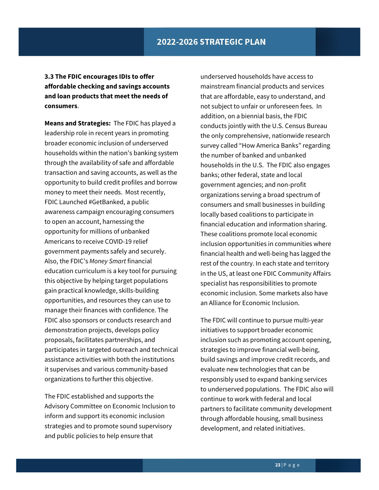**3.3 The FDIC encourages IDIs to offer affordable checking and savings accounts and loan products that meet the needs of consumers**.

**Means and Strategies:** The FDIC has played a leadership role in recent years in promoting broader economic inclusion of underserved households within the nation's banking system through the availability of safe and affordable transaction and saving accounts, as well as the opportunity to build credit profiles and borrow money to meet their needs. Most recently, FDIC Launched #GetBanked, a public awareness campaign encouraging consumers to open an account, harnessing the opportunity for millions of unbanked Americans to receive COVID-19 relief government payments safely and securely. Also, the FDIC's *Money Smart* financial education curriculum is a key tool for pursuing this objective by helping target populations gain practical knowledge, skills-building opportunities, and resources they can use to manage their finances with confidence. The FDIC also sponsors or conducts research and demonstration projects, develops policy proposals, facilitates partnerships, and participates in targeted outreach and technical assistance activities with both the institutions it supervises and various community-based organizations to further this objective.

The FDIC established and supports the Advisory Committee on Economic Inclusion to inform and support its economic inclusion strategies and to promote sound supervisory and public policies to help ensure that

underserved households have access to mainstream financial products and services that are affordable, easy to understand, and not subject to unfair or unforeseen fees. In addition, on a biennial basis, the FDIC conducts jointly with the U.S. Census Bureau the only comprehensive, nationwide research survey called "How America Banks" regarding the number of banked and unbanked households in the U.S. The FDIC also engages banks; other federal, state and local government agencies; and non-profit organizations serving a broad spectrum of consumers and small businesses in building locally based coalitions to participate in financial education and information sharing. These coalitions promote local economic inclusion opportunities in communities where financial health and well-being has lagged the rest of the country. In each state and territory in the US, at least one FDIC Community Affairs specialist has responsibilities to promote economic inclusion. Some markets also have an Alliance for Economic Inclusion.

The FDIC will continue to pursue multi-year initiatives to support broader economic inclusion such as promoting account opening, strategies to improve financial well-being, build savings and improve credit records, and evaluate new technologies that can be responsibly used to expand banking services to underserved populations. The FDIC also will continue to work with federal and local partners to facilitate community development through affordable housing, small business development, and related initiatives.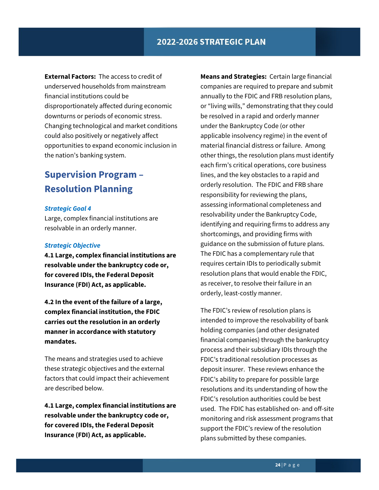**External Factors:** The access to credit of underserved households from mainstream financial institutions could be disproportionately affected during economic downturns or periods of economic stress. Changing technological and market conditions could also positively or negatively affect opportunities to expand economic inclusion in the nation's banking system.

## <span id="page-24-0"></span>**Supervision Program – Resolution Planning**

#### *Strategic Goal 4*

Large, complex financial institutions are resolvable in an orderly manner.

#### *Strategic Objective*

**4.1 Large, complex financial institutions are resolvable under the bankruptcy code or, for covered IDIs, the Federal Deposit Insurance (FDI) Act, as applicable.**

**4.2 In the event of the failure of a large, complex financial institution, the FDIC carries out the resolution in an orderly manner in accordance with statutory mandates.**

The means and strategies used to achieve these strategic objectives and the external factors that could impact their achievement are described below.

**4.1 Large, complex financial institutions are resolvable under the bankruptcy code or, for covered IDIs, the Federal Deposit Insurance (FDI) Act, as applicable.**

**Means and Strategies:** Certain large financial companies are required to prepare and submit annually to the FDIC and FRB resolution plans, or "living wills," demonstrating that they could be resolved in a rapid and orderly manner under the Bankruptcy Code (or other applicable insolvency regime) in the event of material financial distress or failure. Among other things, the resolution plans must identify each firm's critical operations, core business lines, and the key obstacles to a rapid and orderly resolution. The FDIC and FRB share responsibility for reviewing the plans, assessing informational completeness and resolvability under the Bankruptcy Code, identifying and requiring firms to address any shortcomings, and providing firms with guidance on the submission of future plans. The FDIC has a complementary rule that requires certain IDIs to periodically submit resolution plans that would enable the FDIC, as receiver, to resolve their failure in an orderly, least-costly manner.

The FDIC's review of resolution plans is intended to improve the resolvability of bank holding companies (and other designated financial companies) through the bankruptcy process and their subsidiary IDIs through the FDIC's traditional resolution processes as deposit insurer. These reviews enhance the FDIC's ability to prepare for possible large resolutions and its understanding of how the FDIC's resolution authorities could be best used. The FDIC has established on- and off-site monitoring and risk assessment programs that support the FDIC's review of the resolution plans submitted by these companies.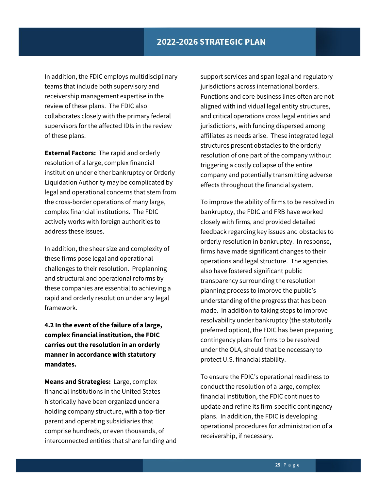In addition, the FDIC employs multidisciplinary teams that include both supervisory and receivership management expertise in the review of these plans. The FDIC also collaborates closely with the primary federal supervisors for the affected IDIs in the review of these plans.

**External Factors:** The rapid and orderly resolution of a large, complex financial institution under either bankruptcy or Orderly Liquidation Authority may be complicated by legal and operational concerns that stem from the cross-border operations of many large, complex financial institutions. The FDIC actively works with foreign authorities to address these issues.

In addition, the sheer size and complexity of these firms pose legal and operational challenges to their resolution. Preplanning and structural and operational reforms by these companies are essential to achieving a rapid and orderly resolution under any legal framework.

**4.2 In the event of the failure of a large, complex financial institution, the FDIC carries out the resolution in an orderly manner in accordance with statutory mandates.**

**Means and Strategies:** Large, complex financial institutions in the United States historically have been organized under a holding company structure, with a top-tier parent and operating subsidiaries that comprise hundreds, or even thousands, of interconnected entities that share funding and

support services and span legal and regulatory jurisdictions across international borders. Functions and core business lines often are not aligned with individual legal entity structures, and critical operations cross legal entities and jurisdictions, with funding dispersed among affiliates as needs arise. These integrated legal structures present obstacles to the orderly resolution of one part of the company without triggering a costly collapse of the entire company and potentially transmitting adverse effects throughout the financial system.

To improve the ability of firms to be resolved in bankruptcy, the FDIC and FRB have worked closely with firms, and provided detailed feedback regarding key issues and obstacles to orderly resolution in bankruptcy. In response, firms have made significant changes to their operations and legal structure. The agencies also have fostered significant public transparency surrounding the resolution planning process to improve the public's understanding of the progress that has been made. In addition to taking steps to improve resolvability under bankruptcy (the statutorily preferred option), the FDIC has been preparing contingency plans for firms to be resolved under the OLA, should that be necessary to protect U.S. financial stability.

To ensure the FDIC's operational readiness to conduct the resolution of a large, complex financial institution, the FDIC continues to update and refine its firm-specific contingency plans. In addition, the FDIC is developing operational procedures for administration of a receivership, if necessary.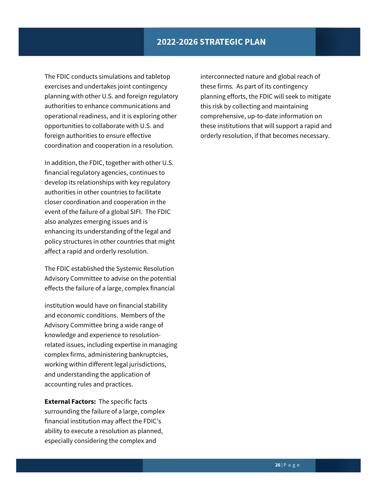The FDIC conducts simulations and tabletop exercises and undertakes joint contingency planning with other U.S. and foreign regulatory authorities to enhance communications and operational readiness, and it is exploring other opportunities to collaborate with U.S. and foreign authorities to ensure effective coordination and cooperation in a resolution.

In addition, the FDIC, together with other U.S. financial regulatory agencies, continues to develop its relationships with key regulatory authorities in other countries to facilitate closer coordination and cooperation in the event of the failure of a global SIFI. The FDIC also analyzes emerging issues and is enhancing its understanding of the legal and policy structures in other countries that might affect a rapid and orderly resolution.

The FDIC established the Systemic Resolution Advisory Committee to advise on the potential effects the failure of a large, complex financial

institution would have on financial stability and economic conditions. Members of the Advisory Committee bring a wide range of knowledge and experience to resolutionrelated issues, including expertise in managing complex firms, administering bankruptcies, working within different legal jurisdictions, and understanding the application of accounting rules and practices.

**External Factors:** The specific facts surrounding the failure of a large, complex financial institution may affect the FDIC's ability to execute a resolution as planned, especially considering the complex and

interconnected nature and global reach of these firms. As part of its contingency planning efforts, the FDIC will seek to mitigate this risk by collecting and maintaining comprehensive, up-to-date information on these institutions that will support a rapid and orderly resolution, if that becomes necessary.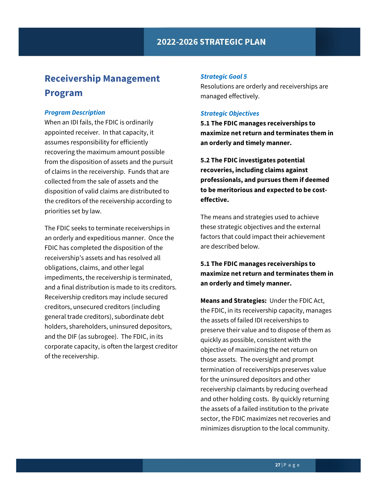## <span id="page-27-0"></span>**Receivership Management Program**

#### *Program Description*

When an IDI fails, the FDIC is ordinarily appointed receiver. In that capacity, it assumes responsibility for efficiently recovering the maximum amount possible from the disposition of assets and the pursuit of claims in the receivership. Funds that are collected from the sale of assets and the disposition of valid claims are distributed to the creditors of the receivership according to priorities set by law.

The FDIC seeks to terminate receiverships in an orderly and expeditious manner. Once the FDIC has completed the disposition of the receivership's assets and has resolved all obligations, claims, and other legal impediments, the receivership is terminated, and a final distribution is made to its creditors. Receivership creditors may include secured creditors, unsecured creditors (including general trade creditors), subordinate debt holders, shareholders, uninsured depositors, and the DIF (as subrogee). The FDIC, in its corporate capacity, is often the largest creditor of the receivership.

#### *Strategic Goal 5*

Resolutions are orderly and receiverships are managed effectively.

#### *Strategic Objectives*

**5.1 The FDIC manages receiverships to maximize net return and terminates them in an orderly and timely manner.**

**5.2 The FDIC investigates potential recoveries, including claims against professionals, and pursues them if deemed to be meritorious and expected to be costeffective.**

The means and strategies used to achieve these strategic objectives and the external factors that could impact their achievement are described below.

### **5.1 The FDIC manages receiverships to maximize net return and terminates them in an orderly and timely manner.**

**Means and Strategies:** Under the FDIC Act, the FDIC, in its receivership capacity, manages the assets of failed IDI receiverships to preserve their value and to dispose of them as quickly as possible, consistent with the objective of maximizing the net return on those assets. The oversight and prompt termination of receiverships preserves value for the uninsured depositors and other receivership claimants by reducing overhead and other holding costs. By quickly returning the assets of a failed institution to the private sector, the FDIC maximizes net recoveries and minimizes disruption to the local community.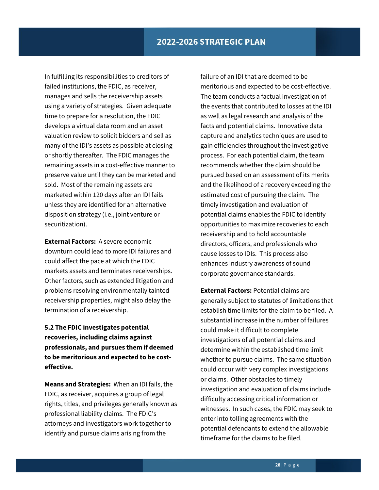In fulfilling its responsibilities to creditors of failed institutions, the FDIC, as receiver, manages and sells the receivership assets using a variety of strategies. Given adequate time to prepare for a resolution, the FDIC develops a virtual data room and an asset valuation review to solicit bidders and sell as many of the IDI's assets as possible at closing or shortly thereafter. The FDIC manages the remaining assets in a cost-effective manner to preserve value until they can be marketed and sold. Most of the remaining assets are marketed within 120 days after an IDI fails unless they are identified for an alternative disposition strategy (i.e., joint venture or securitization).

**External Factors:** A severe economic downturn could lead to more IDI failures and could affect the pace at which the FDIC markets assets and terminates receiverships. Other factors, such as extended litigation and problems resolving environmentally tainted receivership properties, might also delay the termination of a receivership.

## **5.2 The FDIC investigates potential recoveries, including claims against professionals, and pursues them if deemed to be meritorious and expected to be costeffective.**

**Means and Strategies:** When an IDI fails, the FDIC, as receiver, acquires a group of legal rights, titles, and privileges generally known as professional liability claims. The FDIC's attorneys and investigators work together to identify and pursue claims arising from the

failure of an IDI that are deemed to be meritorious and expected to be cost-effective. The team conducts a factual investigation of the events that contributed to losses at the IDI as well as legal research and analysis of the facts and potential claims. Innovative data capture and analytics techniques are used to gain efficiencies throughout the investigative process. For each potential claim, the team recommends whether the claim should be pursued based on an assessment of its merits and the likelihood of a recovery exceeding the estimated cost of pursuing the claim. The timely investigation and evaluation of potential claims enables the FDIC to identify opportunities to maximize recoveries to each receivership and to hold accountable directors, officers, and professionals who cause losses to IDIs. This process also enhances industry awareness of sound corporate governance standards.

**External Factors:** Potential claims are generally subject to statutes of limitations that establish time limits for the claim to be filed. A substantial increase in the number of failures could make it difficult to complete investigations of all potential claims and determine within the established time limit whether to pursue claims. The same situation could occur with very complex investigations or claims. Other obstacles to timely investigation and evaluation of claims include difficulty accessing critical information or witnesses. In such cases, the FDIC may seek to enter into tolling agreements with the potential defendants to extend the allowable timeframe for the claims to be filed.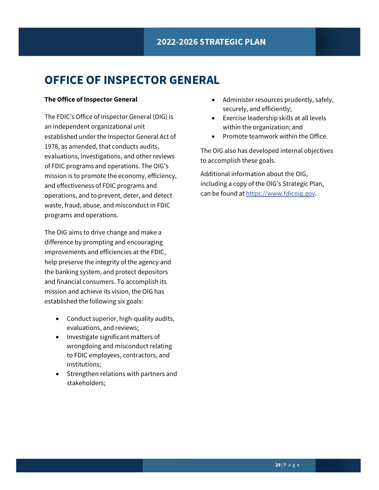# <span id="page-29-0"></span>**OFFICE OF INSPECTOR GENERAL**

#### **The Office of Inspector General**

The FDIC's Office of Inspector General (OIG) is an independent organizational unit established under the Inspector General Act of 1978, as amended, that conducts audits, evaluations, investigations, and other reviews of FDIC programs and operations. The OIG's mission is to promote the economy, efficiency, and effectiveness of FDIC programs and operations, and to prevent, deter, and detect waste, fraud, abuse, and misconduct in FDIC programs and operations.

The OIG aims to drive change and make a difference by prompting and encouraging improvements and efficiencies at the FDIC, help preserve the integrity of the agency and the banking system, and protect depositors and financial consumers. To accomplish its mission and achieve its vision, the OIG has established the following six goals:

- Conduct superior, high-quality audits, evaluations, and reviews;
- Investigate significant matters of wrongdoing and misconduct relating to FDIC employees, contractors, and institutions;
- Strengthen relations with partners and stakeholders;
- Administer resources prudently, safely, securely, and efficiently;
- Exercise leadership skills at all levels within the organization; and
- Promote teamwork within the Office.

The OIG also has developed internal objectives to accomplish these goals.

Additional information about the OIG, including a copy of the OIG's Strategic Plan, can be found at https:/[/www.fdicoig.gov.](http://www.fdicoig.gov/)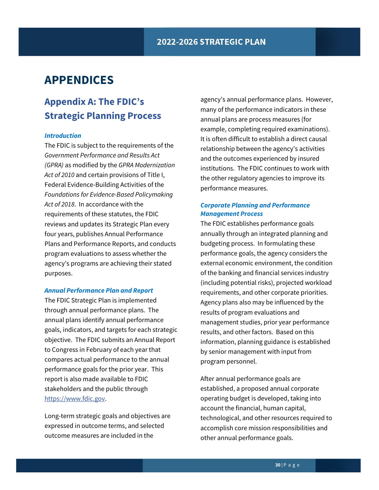# <span id="page-30-0"></span>**APPENDICES**

## <span id="page-30-1"></span>**Appendix A: The FDIC's Strategic Planning Process**

#### *Introduction*

The FDIC is subject to the requirements of the *Government Performance and Results Act (GPRA)* as modified by the *GPRA Modernization Act of 2010* and certain provisions of Title I, Federal Evidence-Building Activities of the *Foundations for Evidence-Based Policymaking Act of 2018*. In accordance with the requirements of these statutes, the FDIC reviews and updates its Strategic Plan every four years, publishes Annual Performance Plans and Performance Reports, and conducts program evaluations to assess whether the agency's programs are achieving their stated purposes.

#### *Annual Performance Plan and Report*

The FDIC Strategic Plan is implemented through annual performance plans. The annual plans identify annual performance goals, indicators, and targets for each strategic objective. The FDIC submits an Annual Report to Congress in February of each year that compares actual performance to the annual performance goals for the prior year. This report is also made available to FDIC stakeholders and the public through [https://www.fdic.gov.](https://www.fdic.gov/)

Long-term strategic goals and objectives are expressed in outcome terms, and selected outcome measures are included in the

agency's annual performance plans. However, many of the performance indicators in these annual plans are process measures (for example, completing required examinations). It is often difficult to establish a direct causal relationship between the agency's activities and the outcomes experienced by insured institutions. The FDIC continues to work with the other regulatory agencies to improve its performance measures.

#### *Corporate Planning and Performance Management Process*

The FDIC establishes performance goals annually through an integrated planning and budgeting process. In formulating these performance goals, the agency considers the external economic environment, the condition of the banking and financial services industry (including potential risks), projected workload requirements, and other corporate priorities. Agency plans also may be influenced by the results of program evaluations and management studies, prior year performance results, and other factors. Based on this information, planning guidance is established by senior management with input from program personnel.

After annual performance goals are established, a proposed annual corporate operating budget is developed, taking into account the financial, human capital, technological, and other resources required to accomplish core mission responsibilities and other annual performance goals.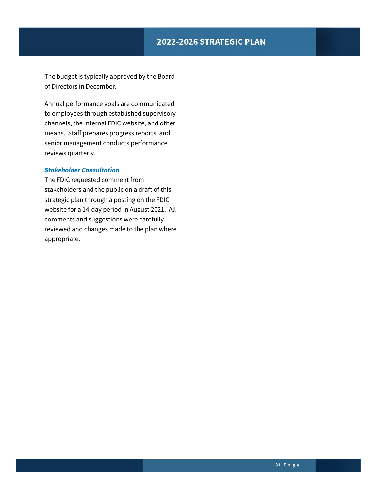## 2022-2026 STRATEGIC PLAN

The budget is typically approved by the Board of Directors in December.

Annual performance goals are communicated to employees through established supervisory channels, the internal FDIC website, and other means. Staff prepares progress reports, and senior management conducts performance reviews quarterly.

#### *Stakeholder Consultation*

The FDIC requested comment from stakeholders and the public on a draft of this strategic plan through a posting on the FDIC website for a 14-day period in August 2021. All comments and suggestions were carefully reviewed and changes made to the plan where appropriate.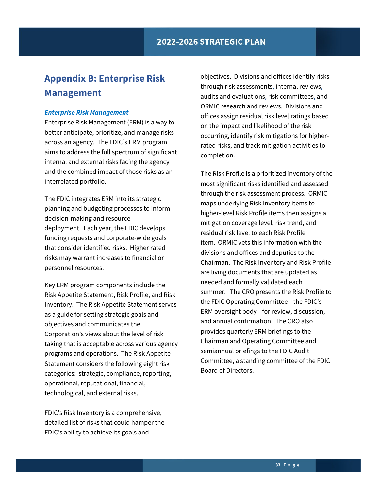## <span id="page-32-0"></span>**Appendix B: Enterprise Risk Management**

#### *Enterprise Risk Management*

Enterprise Risk Management (ERM) is a way to better anticipate, prioritize, and manage risks across an agency. The FDIC's ERM program aims to address the full spectrum of significant internal and external risks facing the agency and the combined impact of those risks as an interrelated portfolio.

The FDIC integrates ERM into its strategic planning and budgeting processes to inform decision-making and resource deployment. Each year, the FDIC develops funding requests and corporate-wide goals that consider identified risks. Higher rated risks may warrant increases to financial or personnel resources.

Key ERM program components include the Risk Appetite Statement, Risk Profile, and Risk Inventory. The Risk Appetite Statement serves as a guide for setting strategic goals and objectives and communicates the Corporation's views about the level of risk taking that is acceptable across various agency programs and operations. The Risk Appetite Statement considers the following eight risk categories: strategic, compliance, reporting, operational, reputational, financial, technological, and external risks.

FDIC's Risk Inventory is a comprehensive, detailed list of risks that could hamper the FDIC's ability to achieve its goals and

objectives. Divisions and offices identify risks through risk assessments, internal reviews, audits and evaluations, risk committees, and ORMIC research and reviews. Divisions and offices assign residual risk level ratings based on the impact and likelihood of the risk occurring, identify risk mitigations for higherrated risks, and track mitigation activities to completion.

The Risk Profile is a prioritized inventory of the most significant risks identified and assessed through the risk assessment process. ORMIC maps underlying Risk Inventory items to higher-level Risk Profile items then assigns a mitigation coverage level, risk trend, and residual risk level to each Risk Profile item. ORMIC vets this information with the divisions and offices and deputies to the Chairman. The Risk Inventory and Risk Profile are living documents that are updated as needed and formally validated each summer. The CRO presents the Risk Profile to the FDIC Operating Committee—the FDIC's ERM oversight body—for review, discussion, and annual confirmation. The CRO also provides quarterly ERM briefings to the Chairman and Operating Committee and semiannual briefings to the FDIC Audit Committee, a standing committee of the FDIC Board of Directors.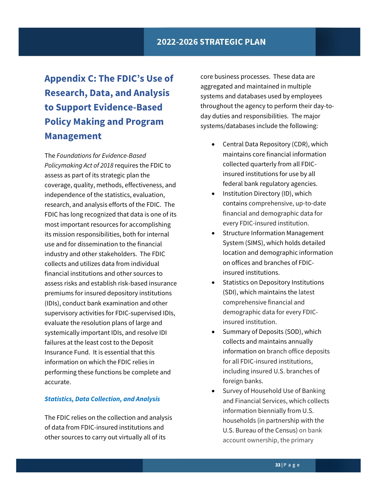# <span id="page-33-0"></span>**Appendix C: The FDIC's Use of Research, Data, and Analysis to Support Evidence-Based Policy Making and Program Management**

The *Foundations for Evidence-Based Policymaking Act of 2018* requires the FDIC to assess as part of its strategic plan the coverage, quality, methods, effectiveness, and independence of the statistics, evaluation, research, and analysis efforts of the FDIC. The FDIC has long recognized that data is one of its most important resources for accomplishing its mission responsibilities, both for internal use and for dissemination to the financial industry and other stakeholders. The FDIC collects and utilizes data from individual financial institutions and other sources to assess risks and establish risk-based insurance premiums for insured depository institutions (IDIs), conduct bank examination and other supervisory activities for FDIC-supervised IDIs, evaluate the resolution plans of large and systemically important IDIs, and resolve IDI failures at the least cost to the Deposit Insurance Fund. It is essential that this information on which the FDIC relies in performing these functions be complete and accurate.

#### *Statistics, Data Collection, and Analysis*

The FDIC relies on the collection and analysis of data from FDIC-insured institutions and other sources to carry out virtually all of its

core business processes. These data are aggregated and maintained in multiple systems and databases used by employees throughout the agency to perform their day-today duties and responsibilities. The major systems/databases include the following:

- Central Data Repository (CDR), which maintains core financial information collected quarterly from all FDICinsured institutions for use by all federal bank regulatory agencies.
- Institution Directory (ID), which contains comprehensive, up-to-date financial and demographic data for every FDIC-insured institution.
- Structure Information Management System (SIMS), which holds detailed location and demographic information on offices and branches of FDICinsured institutions.
- Statistics on Depository Institutions (SDI), which maintains the latest comprehensive financial and demographic data for every FDICinsured institution.
- Summary of Deposits (SOD), which collects and maintains annually information on branch office deposits for all FDIC-insured institutions, including insured U.S. branches of foreign banks.
- Survey of Household Use of Banking and Financial Services, which collects information biennially from U.S. households (in partnership with the U.S. Bureau of the Census) on bank account ownership, the primary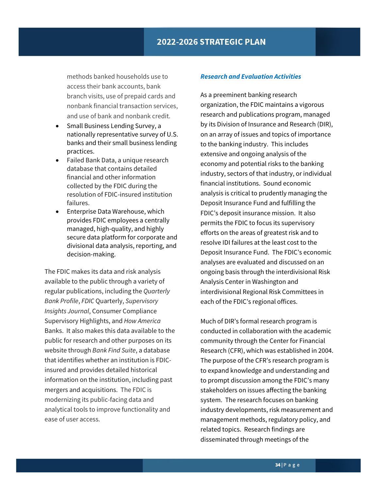methods banked households use to access their bank accounts, bank branch visits, use of prepaid cards and nonbank financial transaction services, and use of bank and nonbank credit.

- Small Business Lending Survey, a nationally representative survey of U.S. banks and their small business lending practices.
- Failed Bank Data, a unique research database that contains detailed financial and other information collected by the FDIC during the resolution of FDIC-insured institution failures.
- Enterprise Data Warehouse, which provides FDIC employees a centrally managed, high-quality, and highly secure data platform for corporate and divisional data analysis, reporting, and decision-making.

The FDIC makes its data and risk analysis available to the public through a variety of regular publications, including the *Quarterly Bank Profile*, *FDIC* Quarterly, *Supervisory Insights Journal*, Consumer Compliance Supervisory Highlights, and *How America*  Banks. It also makes this data available to the public for research and other purposes on its website through *Bank Find Suite*, a database that identifies whether an institution is FDICinsured and provides detailed historical information on the institution, including past mergers and acquisitions. The FDIC is modernizing its public-facing data and analytical tools to improve functionality and ease of user access.

#### *Research and Evaluation Activities*

As a preeminent banking research organization, the FDIC maintains a vigorous research and publications program, managed by its Division of Insurance and Research (DIR), on an array of issues and topics of importance to the banking industry. This includes extensive and ongoing analysis of the economy and potential risks to the banking industry, sectors of that industry, or individual financial institutions. Sound economic analysis is critical to prudently managing the Deposit Insurance Fund and fulfilling the FDIC's deposit insurance mission. It also permits the FDIC to focus its supervisory efforts on the areas of greatest risk and to resolve IDI failures at the least cost to the Deposit Insurance Fund. The FDIC's economic analyses are evaluated and discussed on an ongoing basis through the interdivisional Risk Analysis Center in Washington and interdivisional Regional Risk Committees in each of the FDIC's regional offices.

Much of DIR's formal research program is conducted in collaboration with the academic community through the Center for Financial Research (CFR), which was established in 2004. The purpose of the CFR's research program is to expand knowledge and understanding and to prompt discussion among the FDIC's many stakeholders on issues affecting the banking system. The research focuses on banking industry developments, risk measurement and management methods, regulatory policy, and related topics. Research findings are disseminated through meetings of the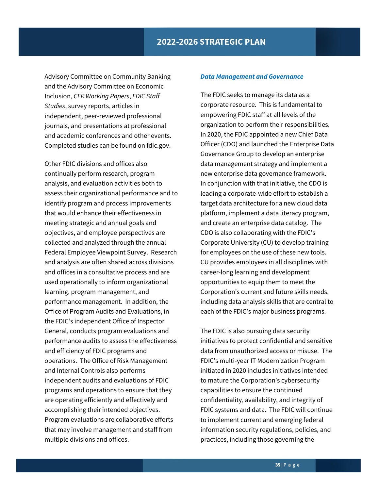Advisory Committee on Community Banking and the Advisory Committee on Economic Inclusion, *CFR Working Papers*, *FDIC Staff Studies*, survey reports, articles in independent, peer-reviewed professional journals, and presentations at professional and academic conferences and other events. Completed studies can be found on fdic.gov.

Other FDIC divisions and offices also continually perform research, program analysis, and evaluation activities both to assess their organizational performance and to identify program and process improvements that would enhance their effectiveness in meeting strategic and annual goals and objectives, and employee perspectives are collected and analyzed through the annual Federal Employee Viewpoint Survey. Research and analysis are often shared across divisions and offices in a consultative process and are used operationally to inform organizational learning, program management, and performance management. In addition, the Office of Program Audits and Evaluations, in the FDIC's independent Office of Inspector General, conducts program evaluations and performance audits to assess the effectiveness and efficiency of FDIC programs and operations. The Office of Risk Management and Internal Controls also performs independent audits and evaluations of FDIC programs and operations to ensure that they are operating efficiently and effectively and accomplishing their intended objectives. Program evaluations are collaborative efforts that may involve management and staff from multiple divisions and offices.

#### *Data Management and Governance*

The FDIC seeks to manage its data as a corporate resource. This is fundamental to empowering FDIC staff at all levels of the organization to perform their responsibilities. In 2020, the FDIC appointed a new Chief Data Officer (CDO) and launched the Enterprise Data Governance Group to develop an enterprise data management strategy and implement a new enterprise data governance framework. In conjunction with that initiative, the CDO is leading a corporate-wide effort to establish a target data architecture for a new cloud data platform, implement a data literacy program, and create an enterprise data catalog. The CDO is also collaborating with the FDIC's Corporate University (CU) to develop training for employees on the use of these new tools. CU provides employees in all disciplines with career-long learning and development opportunities to equip them to meet the Corporation's current and future skills needs, including data analysis skills that are central to each of the FDIC's major business programs.

The FDIC is also pursuing data security initiatives to protect confidential and sensitive data from unauthorized access or misuse. The FDIC's multi-year IT Modernization Program initiated in 2020 includes initiatives intended to mature the Corporation's cybersecurity capabilities to ensure the continued confidentiality, availability, and integrity of FDIC systems and data. The FDIC will continue to implement current and emerging federal information security regulations, policies, and practices, including those governing the